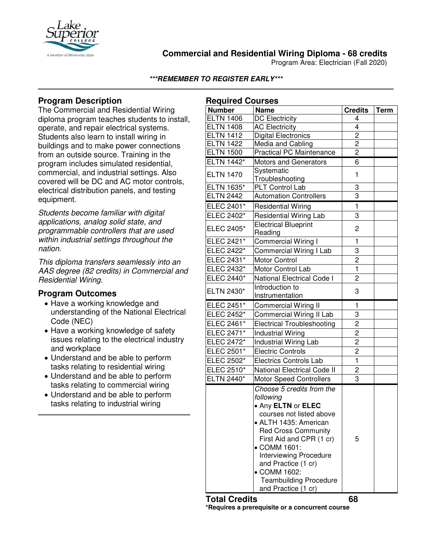

# **Commercial and Residential Wiring Diploma - 68 credits**

Program Area: Electrician (Fall 2020)

### **\*\*\*REMEMBER TO REGISTER EARLY\*\*\***

**Required Courses**

# **Program Description**

The Commercial and Residential Wiring diploma program teaches students to install, operate, and repair electrical systems. Students also learn to install wiring in buildings and to make power connections from an outside source. Training in the program includes simulated residential, commercial, and industrial settings. Also covered will be DC and AC motor controls, electrical distribution panels, and testing equipment.

*Students become familiar with digital applications, analog solid state, and programmable controllers that are used within industrial settings throughout the nation.*

*This diploma transfers seamlessly into an AAS degree (82 credits) in Commercial and Residential Wiring.*

### **Program Outcomes**

- Have a working knowledge and understanding of the National Electrical Code (NEC)
- Have a working knowledge of safety issues relating to the electrical industry and workplace
- Understand and be able to perform tasks relating to residential wiring
- Understand and be able to perform tasks relating to commercial wiring
- Understand and be able to perform tasks relating to industrial wiring

|                                                                                                                                                                                                                                                                                                      |                                                                                                                                                                                                                                                                                                                                                                                                                                                                                                                          | <b>Required Courses</b><br><b>Number</b>                                                                                                                                                   |  |  |  |
|------------------------------------------------------------------------------------------------------------------------------------------------------------------------------------------------------------------------------------------------------------------------------------------------------|--------------------------------------------------------------------------------------------------------------------------------------------------------------------------------------------------------------------------------------------------------------------------------------------------------------------------------------------------------------------------------------------------------------------------------------------------------------------------------------------------------------------------|--------------------------------------------------------------------------------------------------------------------------------------------------------------------------------------------|--|--|--|
| <b>Name</b>                                                                                                                                                                                                                                                                                          | <b>Credits</b>                                                                                                                                                                                                                                                                                                                                                                                                                                                                                                           | <b>Term</b>                                                                                                                                                                                |  |  |  |
| <b>DC Electricity</b>                                                                                                                                                                                                                                                                                | 4                                                                                                                                                                                                                                                                                                                                                                                                                                                                                                                        |                                                                                                                                                                                            |  |  |  |
| <b>AC Electricity</b>                                                                                                                                                                                                                                                                                |                                                                                                                                                                                                                                                                                                                                                                                                                                                                                                                          |                                                                                                                                                                                            |  |  |  |
|                                                                                                                                                                                                                                                                                                      |                                                                                                                                                                                                                                                                                                                                                                                                                                                                                                                          |                                                                                                                                                                                            |  |  |  |
|                                                                                                                                                                                                                                                                                                      |                                                                                                                                                                                                                                                                                                                                                                                                                                                                                                                          |                                                                                                                                                                                            |  |  |  |
|                                                                                                                                                                                                                                                                                                      |                                                                                                                                                                                                                                                                                                                                                                                                                                                                                                                          |                                                                                                                                                                                            |  |  |  |
| Motors and Generators                                                                                                                                                                                                                                                                                |                                                                                                                                                                                                                                                                                                                                                                                                                                                                                                                          |                                                                                                                                                                                            |  |  |  |
|                                                                                                                                                                                                                                                                                                      | 1                                                                                                                                                                                                                                                                                                                                                                                                                                                                                                                        |                                                                                                                                                                                            |  |  |  |
| PLT Control Lab                                                                                                                                                                                                                                                                                      |                                                                                                                                                                                                                                                                                                                                                                                                                                                                                                                          |                                                                                                                                                                                            |  |  |  |
| <b>Automation Controllers</b>                                                                                                                                                                                                                                                                        | $\overline{3}$                                                                                                                                                                                                                                                                                                                                                                                                                                                                                                           |                                                                                                                                                                                            |  |  |  |
|                                                                                                                                                                                                                                                                                                      |                                                                                                                                                                                                                                                                                                                                                                                                                                                                                                                          |                                                                                                                                                                                            |  |  |  |
|                                                                                                                                                                                                                                                                                                      |                                                                                                                                                                                                                                                                                                                                                                                                                                                                                                                          |                                                                                                                                                                                            |  |  |  |
| <b>Electrical Blueprint</b>                                                                                                                                                                                                                                                                          | 2                                                                                                                                                                                                                                                                                                                                                                                                                                                                                                                        |                                                                                                                                                                                            |  |  |  |
|                                                                                                                                                                                                                                                                                                      |                                                                                                                                                                                                                                                                                                                                                                                                                                                                                                                          |                                                                                                                                                                                            |  |  |  |
|                                                                                                                                                                                                                                                                                                      |                                                                                                                                                                                                                                                                                                                                                                                                                                                                                                                          |                                                                                                                                                                                            |  |  |  |
|                                                                                                                                                                                                                                                                                                      |                                                                                                                                                                                                                                                                                                                                                                                                                                                                                                                          |                                                                                                                                                                                            |  |  |  |
|                                                                                                                                                                                                                                                                                                      |                                                                                                                                                                                                                                                                                                                                                                                                                                                                                                                          |                                                                                                                                                                                            |  |  |  |
|                                                                                                                                                                                                                                                                                                      |                                                                                                                                                                                                                                                                                                                                                                                                                                                                                                                          |                                                                                                                                                                                            |  |  |  |
| Introduction to                                                                                                                                                                                                                                                                                      | 3                                                                                                                                                                                                                                                                                                                                                                                                                                                                                                                        |                                                                                                                                                                                            |  |  |  |
|                                                                                                                                                                                                                                                                                                      |                                                                                                                                                                                                                                                                                                                                                                                                                                                                                                                          |                                                                                                                                                                                            |  |  |  |
|                                                                                                                                                                                                                                                                                                      |                                                                                                                                                                                                                                                                                                                                                                                                                                                                                                                          |                                                                                                                                                                                            |  |  |  |
|                                                                                                                                                                                                                                                                                                      |                                                                                                                                                                                                                                                                                                                                                                                                                                                                                                                          |                                                                                                                                                                                            |  |  |  |
|                                                                                                                                                                                                                                                                                                      |                                                                                                                                                                                                                                                                                                                                                                                                                                                                                                                          |                                                                                                                                                                                            |  |  |  |
|                                                                                                                                                                                                                                                                                                      |                                                                                                                                                                                                                                                                                                                                                                                                                                                                                                                          |                                                                                                                                                                                            |  |  |  |
|                                                                                                                                                                                                                                                                                                      |                                                                                                                                                                                                                                                                                                                                                                                                                                                                                                                          |                                                                                                                                                                                            |  |  |  |
| <b>Electric Controls</b>                                                                                                                                                                                                                                                                             | $\overline{c}$                                                                                                                                                                                                                                                                                                                                                                                                                                                                                                           |                                                                                                                                                                                            |  |  |  |
| <b>Electrics Controls Lab</b>                                                                                                                                                                                                                                                                        | $\mathbf{1}$                                                                                                                                                                                                                                                                                                                                                                                                                                                                                                             |                                                                                                                                                                                            |  |  |  |
| <b>National Electrical Code II</b>                                                                                                                                                                                                                                                                   | 2                                                                                                                                                                                                                                                                                                                                                                                                                                                                                                                        |                                                                                                                                                                                            |  |  |  |
| <b>Motor Speed Controllers</b>                                                                                                                                                                                                                                                                       | 3                                                                                                                                                                                                                                                                                                                                                                                                                                                                                                                        |                                                                                                                                                                                            |  |  |  |
| Choose 5 credits from the<br>following<br>• Any ELTN or ELEC<br>courses not listed above<br>• ALTH 1435: American<br><b>Red Cross Community</b><br>First Aid and CPR (1 cr)<br>• COMM 1601:<br><b>Interviewing Procedure</b><br>and Practice (1 cr)<br>• COMM 1602:<br><b>Teambuilding Procedure</b> | 5                                                                                                                                                                                                                                                                                                                                                                                                                                                                                                                        |                                                                                                                                                                                            |  |  |  |
|                                                                                                                                                                                                                                                                                                      | Digital Electronics<br>Media and Cabling<br><b>Practical PC Maintenance</b><br>Systematic<br>Troubleshooting<br><b>Residential Wiring</b><br><b>Residential Wiring Lab</b><br>Reading<br>Commercial Wiring I<br>Commercial Wiring I Lab<br><b>Motor Control</b><br>Motor Control Lab<br>National Electrical Code I<br>Instrumentation<br><b>Commercial Wiring II</b><br>Commercial Wiring II Lab<br><b>Electrical Troubleshooting</b><br><b>Industrial Wiring</b><br><b>Industrial Wiring Lab</b><br>and Practice (1 cr) | 4<br>$\overline{c}$<br>$\overline{c}$<br>$\overline{c}$<br>6<br>3<br>$\mathbf{1}$<br>3<br>1<br>3<br>2<br>$\mathbf{1}$<br>2<br>1<br>3<br>$\overline{c}$<br>$\overline{c}$<br>$\overline{c}$ |  |  |  |

#### **Total Credits 68**

**\*Requires a prerequisite or a concurrent course**